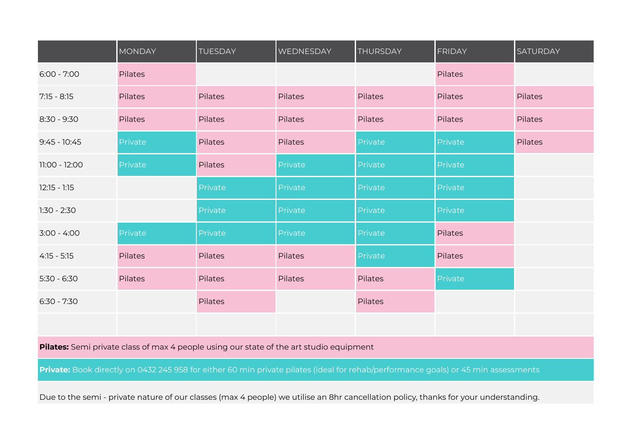|                | <b>MONDAY</b> | <b>TUESDAY</b> | WEDNESDAY | <b>THURSDAY</b> | <b>FRIDAY</b>  | <b>SATURDAY</b> |
|----------------|---------------|----------------|-----------|-----------------|----------------|-----------------|
| $6:00 - 7:00$  | Pilates       |                |           |                 | <b>Pilates</b> |                 |
| $7:15 - 8:15$  | Pilates       | <b>Pilates</b> | Pilates   | Pilates         | <b>Pilates</b> | <b>Pilates</b>  |
| $8:30 - 9:30$  | Pilates       | Pilates        | Pilates   | <b>Pilates</b>  | Pilates        | Pilates         |
| $9:45 - 10:45$ | Private       | Pilates        | Pilates   | Private         | Private        | <b>Pilates</b>  |
| 11:00 - 12:00  | Private       | <b>Pilates</b> | Private   | Private         | Private        |                 |
| $12:15 - 1:15$ |               | Private        | Private   | Private         | Private        |                 |
| $1:30 - 2:30$  |               | Private        | Private   | Private         | Private        |                 |
| $3:00 - 4:00$  | Private       | Private        | Private   | Private         | Pilates        |                 |
| $4:15 - 5:15$  | Pilates       | Pilates        | Pilates   | Private         | Pilates        |                 |
| $5:30 - 6:30$  | Pilates       | <b>Pilates</b> | Pilates   | <b>Pilates</b>  | Private        |                 |
| $6:30 - 7:30$  |               | Pilates        |           | Pilates         |                |                 |
|                |               |                |           |                 |                |                 |

**Pilates:** Semi private class of max 4 people using our state of the art studio equipment

Private: Book directly on 0432 245 958 for either 60 min private pilates (ideal for rehab/performance goals) or 45 min assessments

Due to the semi - private nature of our classes (max 4 people) we utilise an 8hr cancellation policy, thanks for your understanding.